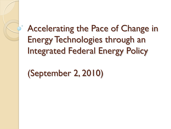## Accelerating the Pace of Change in Energy Technologies through an Integrated Federal Energy Policy

(September 2, 2010)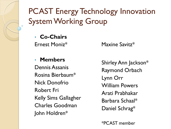PCAST Energy Technology Innovation System Working Group

• **Co-Chairs**

Ernest Moniz<sup>\*</sup> Maxine Savitz<sup>\*</sup>

• **Members** Dennis Assanis Rosina Bierbaum\* Nick Donofrio Robert Fri Kelly Sims Gallagher Charles Goodman John Holdren\*

Shirley Ann Jackson\* Raymond Orbach Lynn Orr William Powers Arati Prabhakar Barbara Schaal\* Daniel Schrag\*

\*PCAST member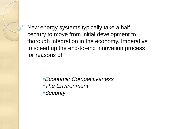New energy systems typically take a half century to move from initial development to thorough integration in the economy. Imperative to speed up the end-to-end innovation process for reasons of:

- •*Economic Competitiveness*
- •*The Environment*
- •*Security*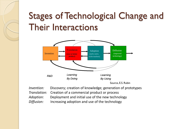## Stages of Technological Change and Their Interactions



| <i>Invention:</i> | Discovery; creation of knowledge; generation of prototypes |
|-------------------|------------------------------------------------------------|
|                   | Translation: Creation of a commercial product or process   |
| Adoption:         | Deployment and initial use of the new technology           |
| Diffusion:        | Increasing adoption and use of the technology              |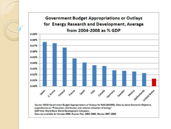**Government Budget Appropriations or Outlays** for Energy Research and Development, Average from 2004-2008 as % GDP

Ō

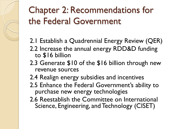## Chapter 2: Recommendations for the Federal Government

- 2.1 Establish a Quadrennial Energy Review (QER)
- 2.2 Increase the annual energy RDD&D funding to \$16 billion
- 2.3 Generate \$10 of the \$16 billion through new revenue sources
- 2.4 Realign energy subsidies and incentives
- 2.5 Enhance the Federal Government's ability to purchase new energy technologies
- 2.6 Reestablish the Committee on International Science, Engineering, and Technology (CISET)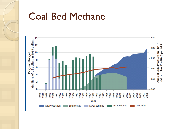

#### Coal Bed Methane